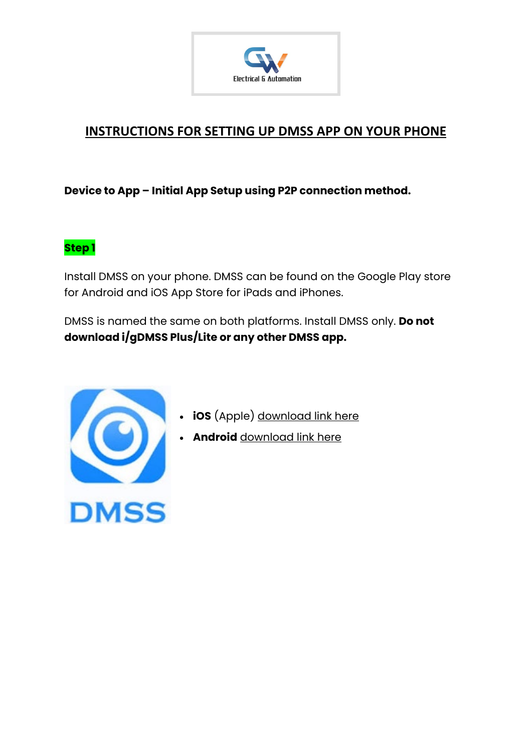

## **INSTRUCTIONS FOR SETTING UP DMSS APP ON YOUR PHONE**

**Device to App – Initial App Setup using P2P connection method.** 

#### **Step 1**

Install DMSS on your phone. DMSS can be found on the Google Play store for Android and iOS App Store for iPads and iPhones.

DMSS is named the same on both platforms. Install DMSS only. **Do not download i/gDMSS Plus/Lite or any other DMSS app.**



- **iOS** (Apple) [download link here](https://apps.apple.com/us/app/dmss/id1493268178)
- **Android** [download link here](https://play.google.com/store/apps/details?gl=US&hl=en_GB&id=com.mm.android.DMSS)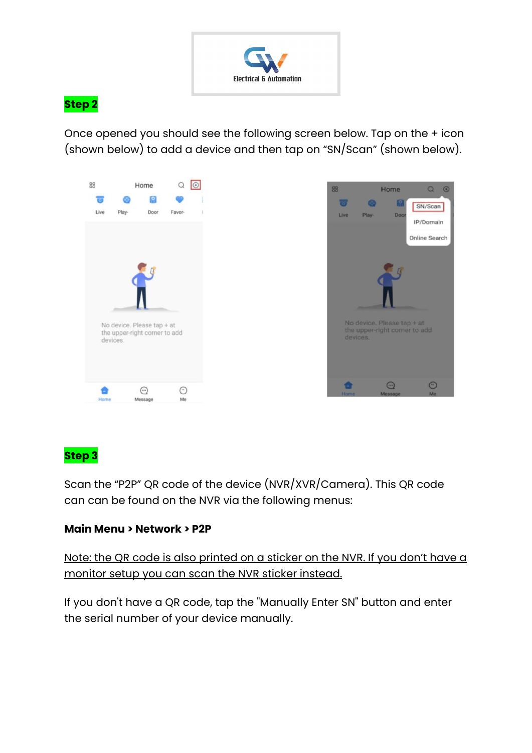

#### **Step 2**

Once opened you should see the following screen below. Tap on the + icon (shown below) to add a device and then tap on "SN/Scan" (shown below).



### **Step 3**

Scan the "P2P" QR code of the device (NVR/XVR/Camera). This QR code can can be found on the NVR via the following menus:

#### **Main Menu > Network > P2P**

Note: the QR code is also printed on a sticker on the NVR. If you don't have a monitor setup you can scan the NVR sticker instead.

If you don't have a QR code, tap the "Manually Enter SN" button and enter the serial number of your device manually.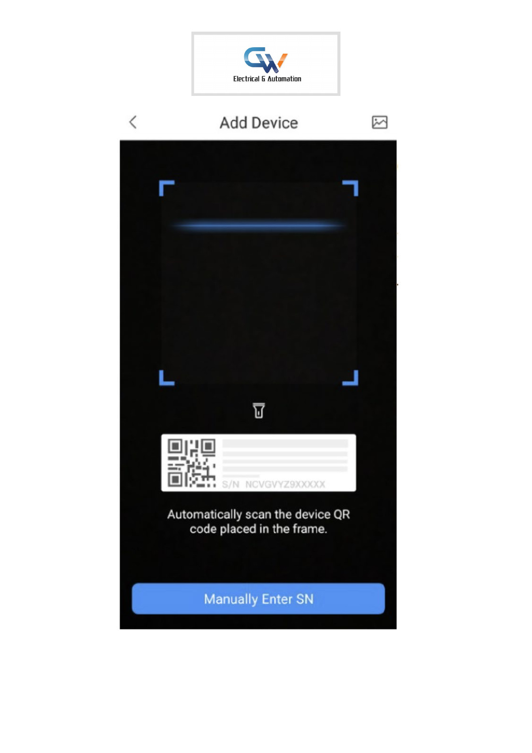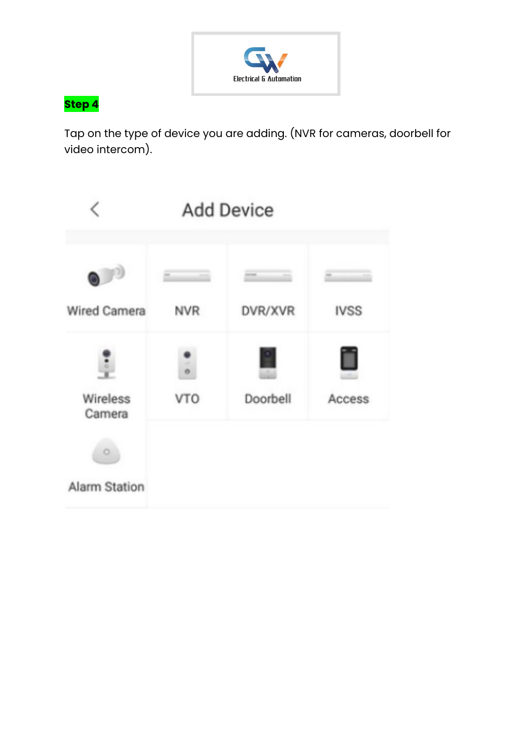

# **Step 4**

Tap on the type of device you are adding. (NVR for cameras, doorbell for video intercom).

|                      | <b>Add Device</b>        |                    |             |
|----------------------|--------------------------|--------------------|-------------|
| $\bigcup$            | $\frac{1}{2}$            | 1534<br><b>ASS</b> | $\equiv$    |
| <b>Wired Camera</b>  | <b>NVR</b>               | DVR/XVR            | <b>IVSS</b> |
|                      | $\overline{\phantom{0}}$ |                    |             |
| Wireless<br>Camera   | <b>VTO</b>               | Doorbell           | Access      |
|                      |                          |                    |             |
| <b>Alarm Station</b> |                          |                    |             |